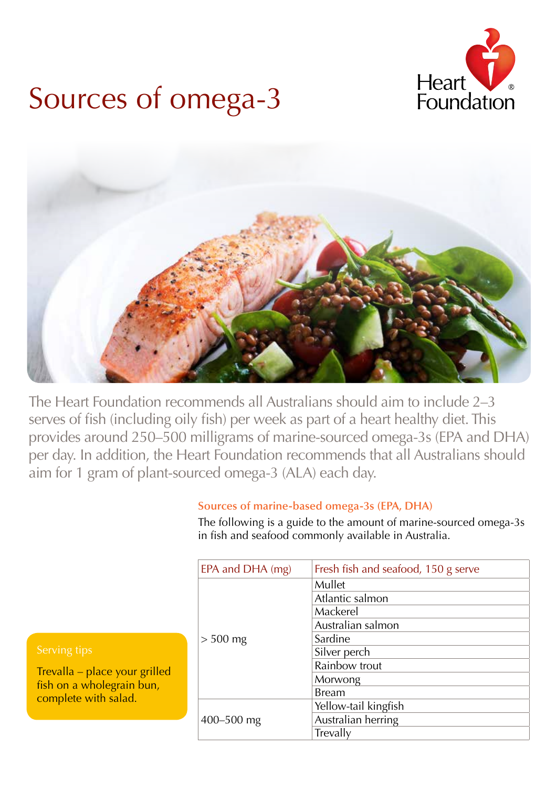

# Sources of omega-3



The Heart Foundation recommends all Australians should aim to include 2–3 serves of fish (including oily fish) per week as part of a heart healthy diet. This provides around 250–500 milligrams of marine-sourced omega-3s (EPA and DHA) per day. In addition, the Heart Foundation recommends that all Australians should aim for 1 gram of plant-sourced omega-3 (ALA) each day.

## **Sources of marine-based omega-3s (EPA, DHA)**

The following is a guide to the amount of marine-sourced omega-3s in fish and seafood commonly available in Australia.

| EPA and DHA (mg) | Fresh fish and seafood, 150 g serve |  |  |
|------------------|-------------------------------------|--|--|
| $> 500$ mg       | Mullet                              |  |  |
|                  | Atlantic salmon                     |  |  |
|                  | Mackerel                            |  |  |
|                  | Australian salmon                   |  |  |
|                  | Sardine                             |  |  |
|                  | Silver perch                        |  |  |
|                  | Rainbow trout                       |  |  |
|                  | Morwong                             |  |  |
|                  | <b>Bream</b>                        |  |  |
| 400-500 mg       | Yellow-tail kingfish                |  |  |
|                  | Australian herring                  |  |  |
|                  | Trevally                            |  |  |

Trevalla – place your grilled fish on a wholegrain bun, complete with salad.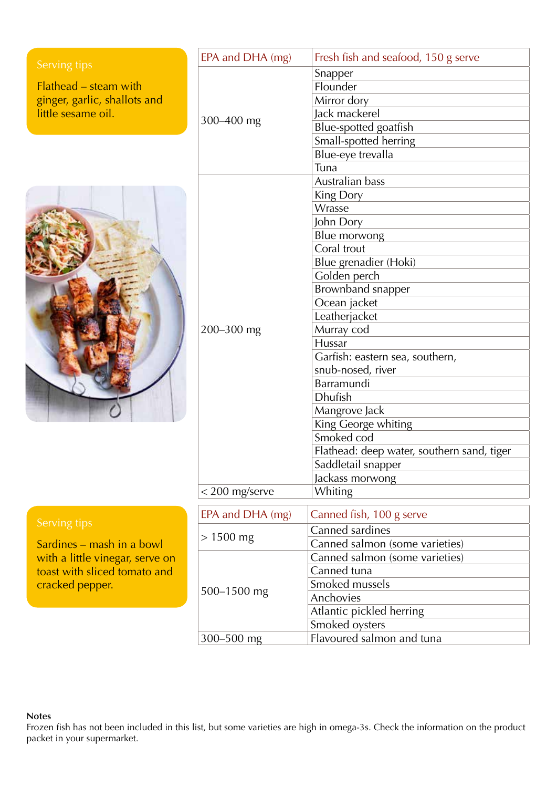|                                                 | EPA and DHA (mg) | Fresh fish and seafood, 150 g serve        |  |
|-------------------------------------------------|------------------|--------------------------------------------|--|
| Serving tips                                    |                  | Snapper                                    |  |
| Flathead - steam with                           |                  | Flounder                                   |  |
| ginger, garlic, shallots and                    |                  | Mirror dory                                |  |
| little sesame oil.                              |                  | Jack mackerel                              |  |
|                                                 | 300-400 mg       | Blue-spotted goatfish                      |  |
|                                                 |                  | Small-spotted herring                      |  |
|                                                 |                  | Blue-eye trevalla                          |  |
|                                                 |                  | Tuna                                       |  |
|                                                 |                  | Australian bass                            |  |
|                                                 |                  | King Dory                                  |  |
|                                                 |                  | Wrasse                                     |  |
|                                                 |                  | John Dory                                  |  |
|                                                 |                  | Blue morwong                               |  |
|                                                 |                  | Coral trout                                |  |
|                                                 |                  | Blue grenadier (Hoki)                      |  |
|                                                 |                  | Golden perch                               |  |
|                                                 |                  | <b>Brownband snapper</b>                   |  |
|                                                 |                  | Ocean jacket                               |  |
|                                                 |                  | Leatherjacket                              |  |
|                                                 | 200-300 mg       | Murray cod                                 |  |
|                                                 |                  | Hussar                                     |  |
|                                                 |                  | Garfish: eastern sea, southern,            |  |
|                                                 |                  | snub-nosed, river                          |  |
|                                                 |                  | Barramundi                                 |  |
|                                                 |                  | <b>Dhufish</b>                             |  |
|                                                 |                  | Mangrove Jack                              |  |
|                                                 |                  | King George whiting                        |  |
|                                                 |                  | Smoked cod                                 |  |
|                                                 |                  | Flathead: deep water, southern sand, tiger |  |
|                                                 |                  | Saddletail snapper                         |  |
|                                                 |                  | Jackass morwong                            |  |
|                                                 | $<$ 200 mg/serve | <b>Whiting</b>                             |  |
|                                                 |                  |                                            |  |
|                                                 | EPA and DHA (mg) | Canned fish, 100 g serve                   |  |
| Serving tips<br>Sardines – mash in a bowl       |                  | Canned sardines                            |  |
|                                                 | $> 1500$ mg      | Canned salmon (some varieties)             |  |
| with a little vinegar, serve on                 |                  | Canned salmon (some varieties)             |  |
| toast with sliced tomato and<br>cracked pepper. |                  | Canned tuna                                |  |
|                                                 | 500-1500 mg      | Smoked mussels                             |  |
|                                                 |                  | Anchovies                                  |  |
|                                                 |                  | Atlantic pickled herring                   |  |
|                                                 |                  | Smoked oysters                             |  |
|                                                 | 300-500 mg       | Flavoured salmon and tuna                  |  |

### **Notes**

Frozen fish has not been included in this list, but some varieties are high in omega-3s. Check the information on the product packet in your supermarket.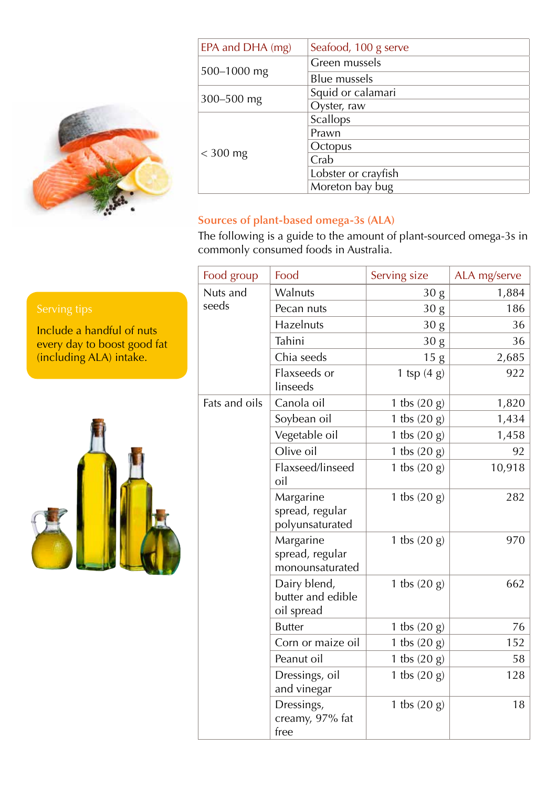

| EPA and DHA (mg) | Seafood, 100 g serve |  |  |
|------------------|----------------------|--|--|
| 500-1000 mg      | Green mussels        |  |  |
|                  | <b>Blue mussels</b>  |  |  |
| 300-500 mg       | Squid or calamari    |  |  |
|                  | Oyster, raw          |  |  |
| $<$ 300 mg       | Scallops             |  |  |
|                  | Prawn                |  |  |
|                  | Octopus              |  |  |
|                  | Crab                 |  |  |
|                  | Lobster or crayfish  |  |  |
|                  | Moreton bay bug      |  |  |

# **Sources of plant-based omega-3s (ALA)**

The following is a guide to the amount of plant-sourced omega-3s in commonly consumed foods in Australia.

| Food group        | Food                                            | Serving size    | ALA mg/serve |
|-------------------|-------------------------------------------------|-----------------|--------------|
| Nuts and<br>seeds | Walnuts                                         | 30 g            | 1,884        |
|                   | Pecan nuts                                      | 30 g            | 186          |
|                   | Hazelnuts                                       | 30 <sub>g</sub> | 36           |
|                   | Tahini                                          | 30 <sub>g</sub> | 36           |
|                   | Chia seeds                                      | 15g             | 2,685        |
|                   | Flaxseeds or<br>linseeds                        | 1 tsp $(4 g)$   | 922          |
| Fats and oils     | Canola oil                                      | 1 tbs $(20 g)$  | 1,820        |
|                   | Soybean oil                                     | 1 tbs $(20 g)$  | 1,434        |
|                   | Vegetable oil                                   | 1 tbs $(20 g)$  | 1,458        |
|                   | Olive oil                                       | 1 tbs $(20 g)$  | 92           |
|                   | Flaxseed/linseed<br>oil                         | 1 tbs $(20 g)$  | 10,918       |
|                   | Margarine<br>spread, regular<br>polyunsaturated | 1 tbs $(20 g)$  | 282          |
|                   | Margarine<br>spread, regular<br>monounsaturated | 1 tbs $(20 g)$  | 970          |
|                   | Dairy blend,<br>butter and edible<br>oil spread | 1 tbs $(20 g)$  | 662          |
|                   | <b>Butter</b>                                   | 1 tbs $(20 g)$  | 76           |
|                   | Corn or maize oil                               | 1 tbs $(20 g)$  | 152          |
|                   | Peanut oil                                      | 1 tbs $(20 g)$  | 58           |
|                   | Dressings, oil<br>and vinegar                   | 1 tbs $(20 g)$  | 128          |
|                   | Dressings,<br>creamy, 97% fat<br>free           | 1 tbs $(20 g)$  | 18           |

Include a handful of nuts every day to boost good fat (including ALA) intake.